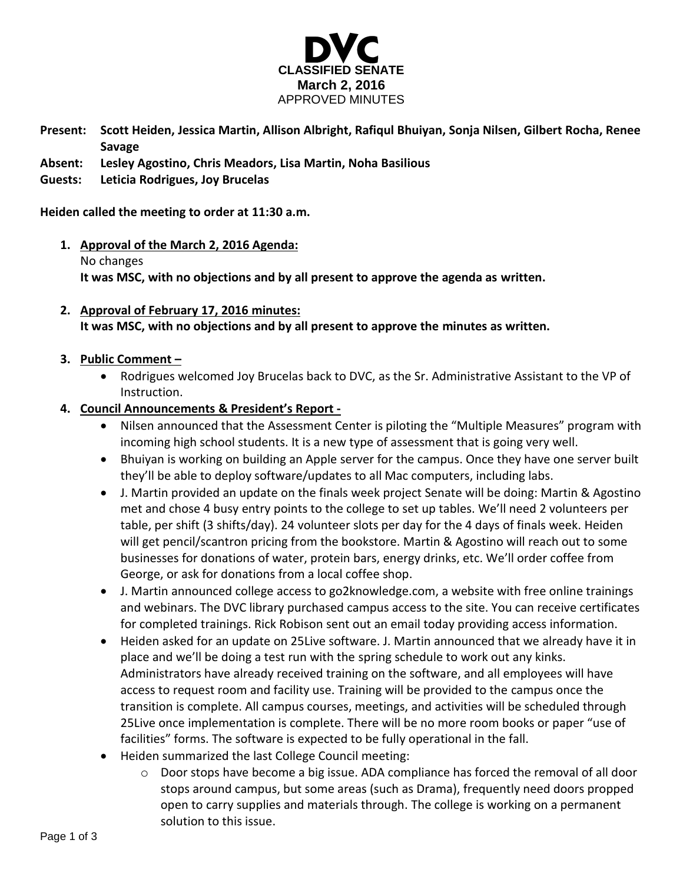

- **Present: Scott Heiden, Jessica Martin, Allison Albright, Rafiqul Bhuiyan, Sonja Nilsen, Gilbert Rocha, Renee Savage**
- **Absent: Lesley Agostino, Chris Meadors, Lisa Martin, Noha Basilious**

## **Guests: Leticia Rodrigues, Joy Brucelas**

#### **Heiden called the meeting to order at 11:30 a.m.**

- **1. Approval of the March 2, 2016 Agenda:** No changes **It was MSC, with no objections and by all present to approve the agenda as written.**
- **2. Approval of February 17, 2016 minutes: It was MSC, with no objections and by all present to approve the minutes as written.**

## **3. Public Comment –**

- Rodrigues welcomed Joy Brucelas back to DVC, as the Sr. Administrative Assistant to the VP of Instruction.
- **4. Council Announcements & President's Report -**
	- Nilsen announced that the Assessment Center is piloting the "Multiple Measures" program with incoming high school students. It is a new type of assessment that is going very well.
	- Bhuiyan is working on building an Apple server for the campus. Once they have one server built they'll be able to deploy software/updates to all Mac computers, including labs.
	- J. Martin provided an update on the finals week project Senate will be doing: Martin & Agostino met and chose 4 busy entry points to the college to set up tables. We'll need 2 volunteers per table, per shift (3 shifts/day). 24 volunteer slots per day for the 4 days of finals week. Heiden will get pencil/scantron pricing from the bookstore. Martin & Agostino will reach out to some businesses for donations of water, protein bars, energy drinks, etc. We'll order coffee from George, or ask for donations from a local coffee shop.
	- J. Martin announced college access to go2knowledge.com, a website with free online trainings and webinars. The DVC library purchased campus access to the site. You can receive certificates for completed trainings. Rick Robison sent out an email today providing access information.
	- Heiden asked for an update on 25Live software. J. Martin announced that we already have it in place and we'll be doing a test run with the spring schedule to work out any kinks. Administrators have already received training on the software, and all employees will have access to request room and facility use. Training will be provided to the campus once the transition is complete. All campus courses, meetings, and activities will be scheduled through 25Live once implementation is complete. There will be no more room books or paper "use of facilities" forms. The software is expected to be fully operational in the fall.
	- Heiden summarized the last College Council meeting:
		- o Door stops have become a big issue. ADA compliance has forced the removal of all door stops around campus, but some areas (such as Drama), frequently need doors propped open to carry supplies and materials through. The college is working on a permanent solution to this issue.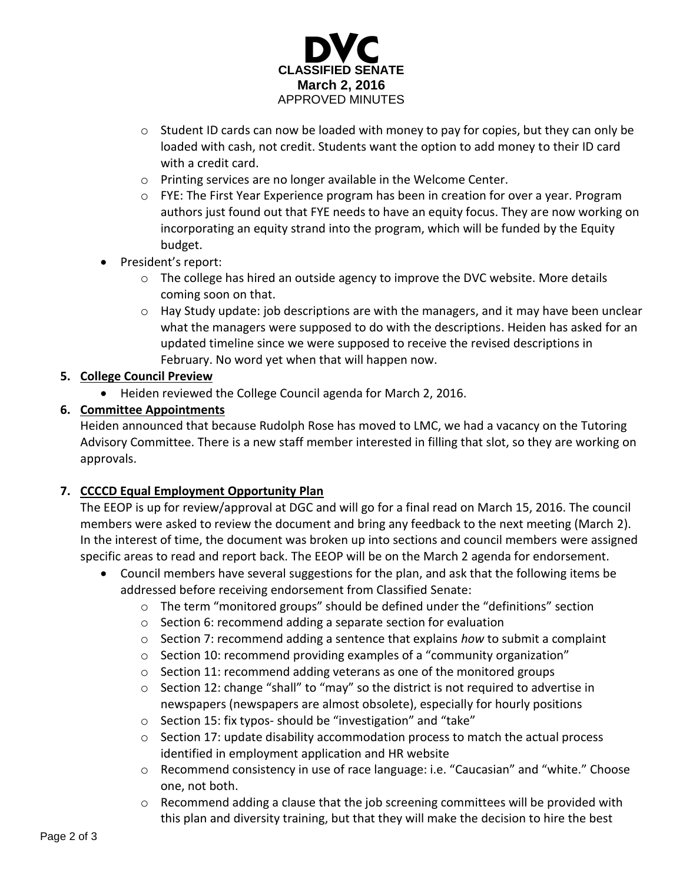

- $\circ$  Student ID cards can now be loaded with money to pay for copies, but they can only be loaded with cash, not credit. Students want the option to add money to their ID card with a credit card.
- o Printing services are no longer available in the Welcome Center.
- o FYE: The First Year Experience program has been in creation for over a year. Program authors just found out that FYE needs to have an equity focus. They are now working on incorporating an equity strand into the program, which will be funded by the Equity budget.
- President's report:
	- $\circ$  The college has hired an outside agency to improve the DVC website. More details coming soon on that.
	- $\circ$  Hay Study update: job descriptions are with the managers, and it may have been unclear what the managers were supposed to do with the descriptions. Heiden has asked for an updated timeline since we were supposed to receive the revised descriptions in February. No word yet when that will happen now.

## **5. College Council Preview**

Heiden reviewed the College Council agenda for March 2, 2016.

# **6. Committee Appointments**

Heiden announced that because Rudolph Rose has moved to LMC, we had a vacancy on the Tutoring Advisory Committee. There is a new staff member interested in filling that slot, so they are working on approvals.

# **7. CCCCD Equal Employment Opportunity Plan**

The EEOP is up for review/approval at DGC and will go for a final read on March 15, 2016. The council members were asked to review the document and bring any feedback to the next meeting (March 2). In the interest of time, the document was broken up into sections and council members were assigned specific areas to read and report back. The EEOP will be on the March 2 agenda for endorsement.

- Council members have several suggestions for the plan, and ask that the following items be addressed before receiving endorsement from Classified Senate:
	- o The term "monitored groups" should be defined under the "definitions" section
	- o Section 6: recommend adding a separate section for evaluation
	- o Section 7: recommend adding a sentence that explains *how* to submit a complaint
	- $\circ$  Section 10: recommend providing examples of a "community organization"
	- o Section 11: recommend adding veterans as one of the monitored groups
	- o Section 12: change "shall" to "may" so the district is not required to advertise in newspapers (newspapers are almost obsolete), especially for hourly positions
	- o Section 15: fix typos- should be "investigation" and "take"
	- $\circ$  Section 17: update disability accommodation process to match the actual process identified in employment application and HR website
	- o Recommend consistency in use of race language: i.e. "Caucasian" and "white." Choose one, not both.
	- o Recommend adding a clause that the job screening committees will be provided with this plan and diversity training, but that they will make the decision to hire the best